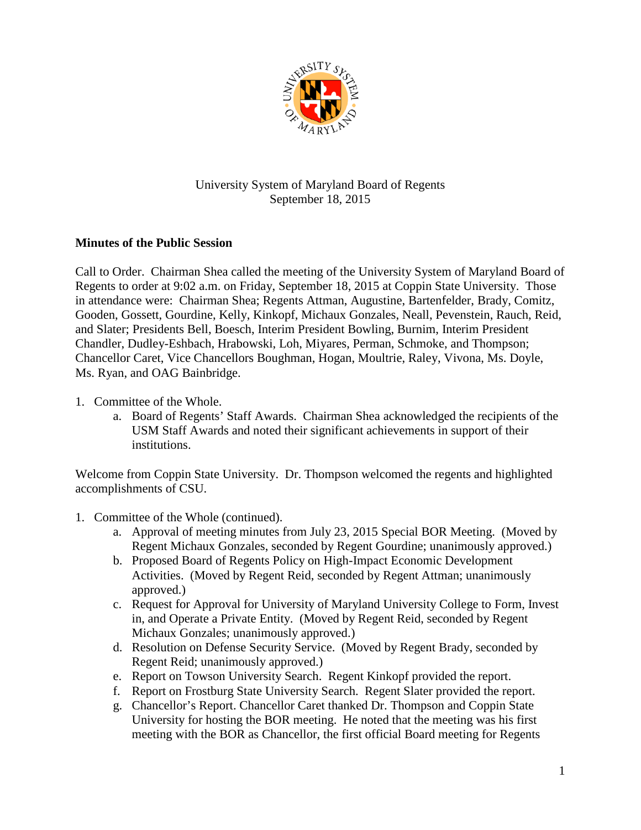

## University System of Maryland Board of Regents September 18, 2015

## **Minutes of the Public Session**

Call to Order. Chairman Shea called the meeting of the University System of Maryland Board of Regents to order at 9:02 a.m. on Friday, September 18, 2015 at Coppin State University. Those in attendance were: Chairman Shea; Regents Attman, Augustine, Bartenfelder, Brady, Comitz, Gooden, Gossett, Gourdine, Kelly, Kinkopf, Michaux Gonzales, Neall, Pevenstein, Rauch, Reid, and Slater; Presidents Bell, Boesch, Interim President Bowling, Burnim, Interim President Chandler, Dudley-Eshbach, Hrabowski, Loh, Miyares, Perman, Schmoke, and Thompson; Chancellor Caret, Vice Chancellors Boughman, Hogan, Moultrie, Raley, Vivona, Ms. Doyle, Ms. Ryan, and OAG Bainbridge.

- 1. Committee of the Whole.
	- a. Board of Regents' Staff Awards. Chairman Shea acknowledged the recipients of the USM Staff Awards and noted their significant achievements in support of their institutions.

Welcome from Coppin State University. Dr. Thompson welcomed the regents and highlighted accomplishments of CSU.

- 1. Committee of the Whole (continued).
	- a. Approval of meeting minutes from July 23, 2015 Special BOR Meeting. (Moved by Regent Michaux Gonzales, seconded by Regent Gourdine; unanimously approved.)
	- b. Proposed Board of Regents Policy on High-Impact Economic Development Activities. (Moved by Regent Reid, seconded by Regent Attman; unanimously approved.)
	- c. Request for Approval for University of Maryland University College to Form, Invest in, and Operate a Private Entity. (Moved by Regent Reid, seconded by Regent Michaux Gonzales; unanimously approved.)
	- d. Resolution on Defense Security Service. (Moved by Regent Brady, seconded by Regent Reid; unanimously approved.)
	- e. Report on Towson University Search. Regent Kinkopf provided the report.
	- f. Report on Frostburg State University Search. Regent Slater provided the report.
	- g. Chancellor's Report. Chancellor Caret thanked Dr. Thompson and Coppin State University for hosting the BOR meeting. He noted that the meeting was his first meeting with the BOR as Chancellor, the first official Board meeting for Regents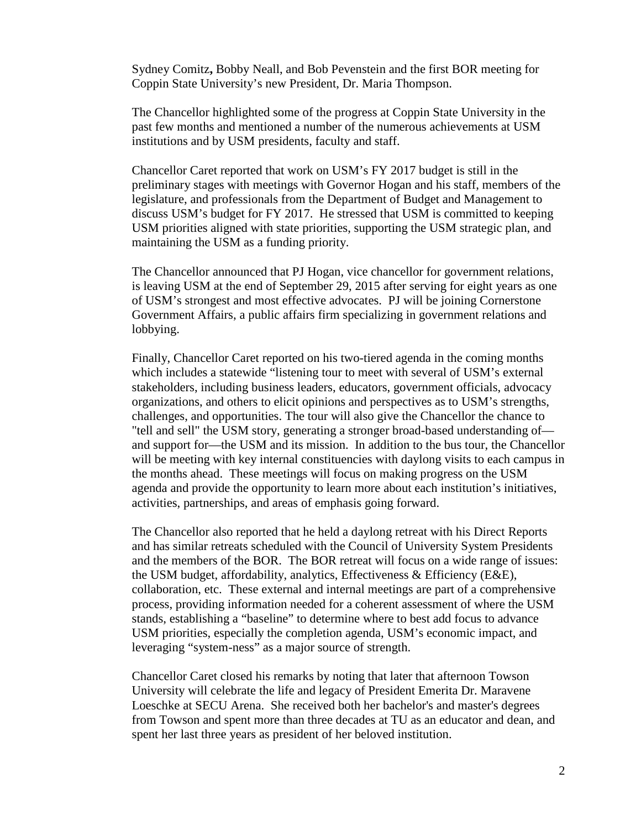Sydney Comitz**,** Bobby Neall, and Bob Pevenstein and the first BOR meeting for Coppin State University's new President, Dr. Maria Thompson.

The Chancellor highlighted some of the progress at Coppin State University in the past few months and mentioned a number of the numerous achievements at USM institutions and by USM presidents, faculty and staff.

Chancellor Caret reported that work on USM's FY 2017 budget is still in the preliminary stages with meetings with Governor Hogan and his staff, members of the legislature, and professionals from the Department of Budget and Management to discuss USM's budget for FY 2017. He stressed that USM is committed to keeping USM priorities aligned with state priorities, supporting the USM strategic plan, and maintaining the USM as a funding priority.

The Chancellor announced that PJ Hogan, vice chancellor for government relations, is leaving USM at the end of September 29, 2015 after serving for eight years as one of USM's strongest and most effective advocates. PJ will be joining Cornerstone Government Affairs, a public affairs firm specializing in government relations and lobbying.

Finally, Chancellor Caret reported on his two-tiered agenda in the coming months which includes a statewide "listening tour to meet with several of USM's external stakeholders, including business leaders, educators, government officials, advocacy organizations, and others to elicit opinions and perspectives as to USM's strengths, challenges, and opportunities. The tour will also give the Chancellor the chance to "tell and sell" the USM story, generating a stronger broad-based understanding of and support for—the USM and its mission. In addition to the bus tour, the Chancellor will be meeting with key internal constituencies with daylong visits to each campus in the months ahead. These meetings will focus on making progress on the USM agenda and provide the opportunity to learn more about each institution's initiatives, activities, partnerships, and areas of emphasis going forward.

The Chancellor also reported that he held a daylong retreat with his Direct Reports and has similar retreats scheduled with the Council of University System Presidents and the members of the BOR. The BOR retreat will focus on a wide range of issues: the USM budget, affordability, analytics, Effectiveness & Efficiency (E&E), collaboration, etc. These external and internal meetings are part of a comprehensive process, providing information needed for a coherent assessment of where the USM stands, establishing a "baseline" to determine where to best add focus to advance USM priorities, especially the completion agenda, USM's economic impact, and leveraging "system-ness" as a major source of strength.

Chancellor Caret closed his remarks by noting that later that afternoon Towson University will celebrate the life and legacy of President Emerita Dr. Maravene Loeschke at SECU Arena. She received both her bachelor's and master's degrees from Towson and spent more than three decades at TU as an educator and dean, and spent her last three years as president of her beloved institution.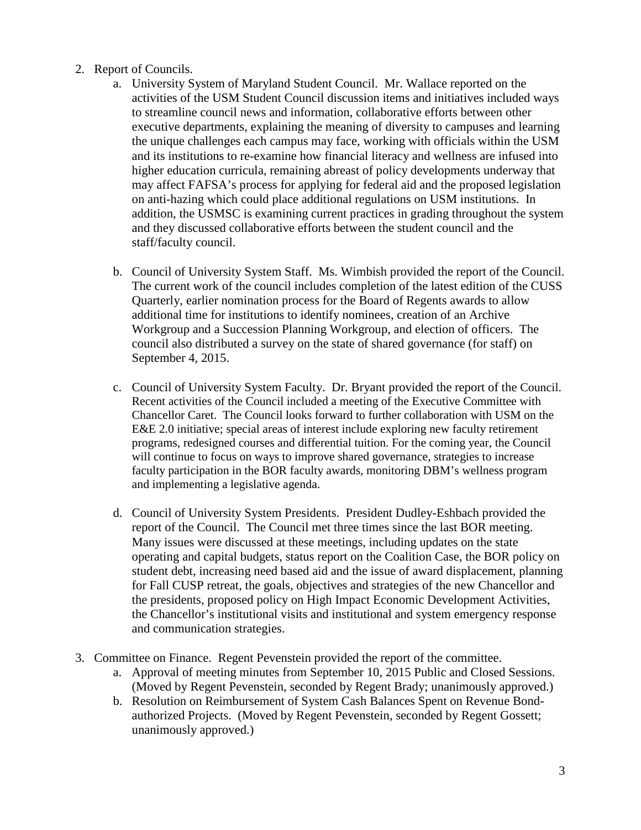## 2. Report of Councils.

- a. University System of Maryland Student Council. Mr. Wallace reported on the activities of the USM Student Council discussion items and initiatives included ways to streamline council news and information, collaborative efforts between other executive departments, explaining the meaning of diversity to campuses and learning the unique challenges each campus may face, working with officials within the USM and its institutions to re-examine how financial literacy and wellness are infused into higher education curricula, remaining abreast of policy developments underway that may affect FAFSA's process for applying for federal aid and the proposed legislation on anti-hazing which could place additional regulations on USM institutions. In addition, the USMSC is examining current practices in grading throughout the system and they discussed collaborative efforts between the student council and the staff/faculty council.
- b. Council of University System Staff. Ms. Wimbish provided the report of the Council. The current work of the council includes completion of the latest edition of the CUSS Quarterly, earlier nomination process for the Board of Regents awards to allow additional time for institutions to identify nominees, creation of an Archive Workgroup and a Succession Planning Workgroup, and election of officers. The council also distributed a survey on the state of shared governance (for staff) on September 4, 2015.
- c. Council of University System Faculty. Dr. Bryant provided the report of the Council. Recent activities of the Council included a meeting of the Executive Committee with Chancellor Caret. The Council looks forward to further collaboration with USM on the E&E 2.0 initiative; special areas of interest include exploring new faculty retirement programs, redesigned courses and differential tuition. For the coming year, the Council will continue to focus on ways to improve shared governance, strategies to increase faculty participation in the BOR faculty awards, monitoring DBM's wellness program and implementing a legislative agenda.
- d. Council of University System Presidents. President Dudley-Eshbach provided the report of the Council. The Council met three times since the last BOR meeting. Many issues were discussed at these meetings, including updates on the state operating and capital budgets, status report on the Coalition Case, the BOR policy on student debt, increasing need based aid and the issue of award displacement, planning for Fall CUSP retreat, the goals, objectives and strategies of the new Chancellor and the presidents, proposed policy on High Impact Economic Development Activities, the Chancellor's institutional visits and institutional and system emergency response and communication strategies.
- 3. Committee on Finance. Regent Pevenstein provided the report of the committee.
	- a. Approval of meeting minutes from September 10, 2015 Public and Closed Sessions. (Moved by Regent Pevenstein, seconded by Regent Brady; unanimously approved.)
	- b. Resolution on Reimbursement of System Cash Balances Spent on Revenue Bondauthorized Projects. (Moved by Regent Pevenstein, seconded by Regent Gossett; unanimously approved.)